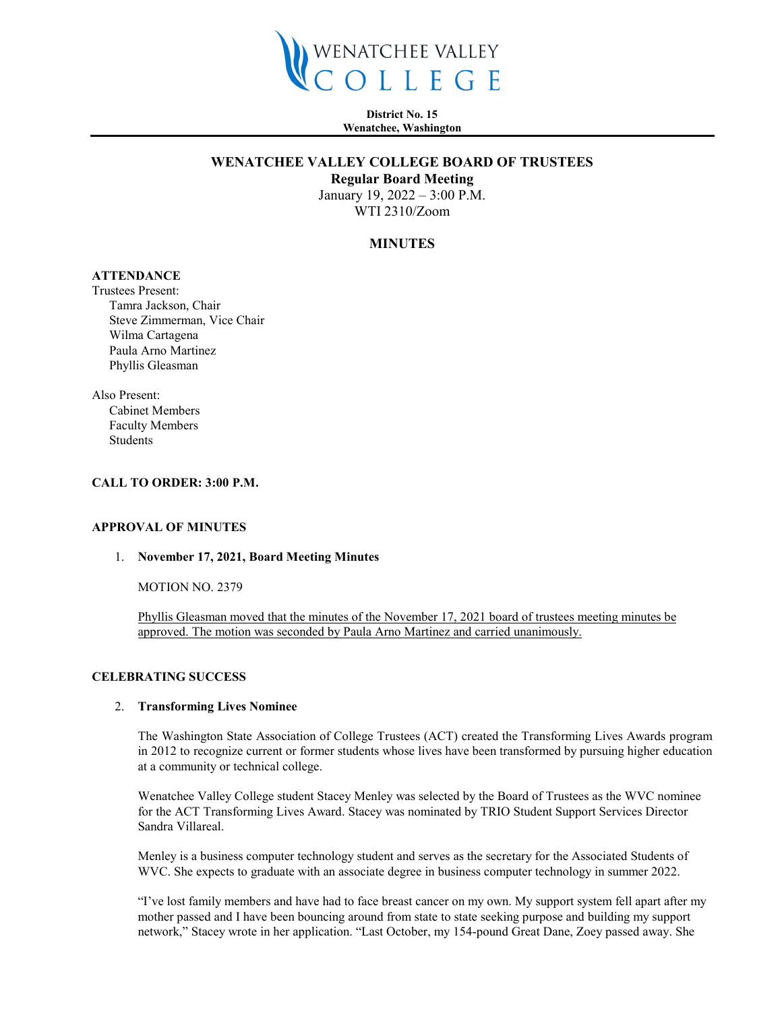

**District No. 15 Wenatchee, Washington**

## **WENATCHEE VALLEY COLLEGE BOARD OF TRUSTEES**

**Regular Board Meeting**

January 19, 2022 – 3:00 P.M. WTI 2310/Zoom

# **MINUTES**

# **ATTENDANCE**

Trustees Present: Tamra Jackson, Chair Steve Zimmerman, Vice Chair Wilma Cartagena Paula Arno Martinez Phyllis Gleasman

Also Present: Cabinet Members Faculty Members Students

## **CALL TO ORDER: 3:00 P.M.**

#### **APPROVAL OF MINUTES**

#### 1. **November 17, 2021, Board Meeting Minutes**

MOTION NO. 2379

Phyllis Gleasman moved that the minutes of the November 17, 2021 board of trustees meeting minutes be approved. The motion was seconded by Paula Arno Martinez and carried unanimously.

#### **CELEBRATING SUCCESS**

#### 2. **Transforming Lives Nominee**

The Washington State Association of College Trustees (ACT) created the Transforming Lives Awards program in 2012 to recognize current or former students whose lives have been transformed by pursuing higher education at a community or technical college.

Wenatchee Valley College student Stacey Menley was selected by the Board of Trustees as the WVC nominee for the ACT Transforming Lives Award. Stacey was nominated by TRIO Student Support Services Director Sandra Villareal.

Menley is a business computer technology student and serves as the secretary for the Associated Students of WVC. She expects to graduate with an associate degree in business computer technology in summer 2022.

"I've lost family members and have had to face breast cancer on my own. My support system fell apart after my mother passed and I have been bouncing around from state to state seeking purpose and building my support network," Stacey wrote in her application. "Last October, my 154-pound Great Dane, Zoey passed away. She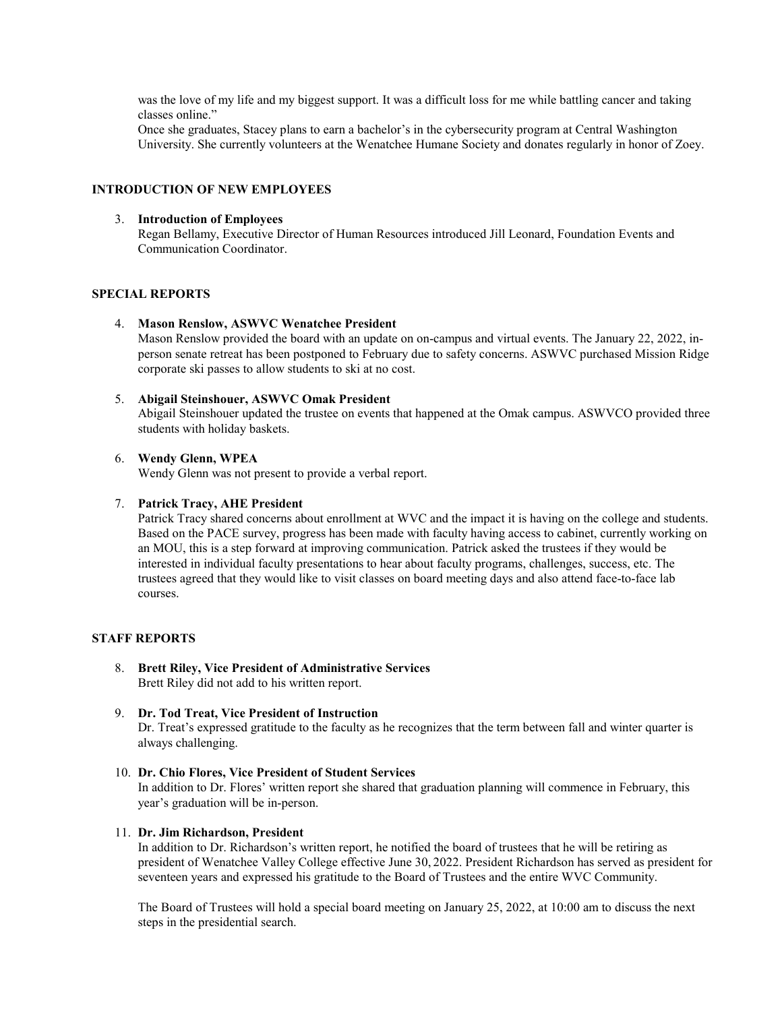was the love of my life and my biggest support. It was a difficult loss for me while battling cancer and taking classes online."

Once she graduates, Stacey plans to earn a bachelor's in the cybersecurity program at Central Washington University. She currently volunteers at the Wenatchee Humane Society and donates regularly in honor of Zoey.

## **INTRODUCTION OF NEW EMPLOYEES**

#### 3. **Introduction of Employees**

Regan Bellamy, Executive Director of Human Resources introduced Jill Leonard, Foundation Events and Communication Coordinator.

# **SPECIAL REPORTS**

#### 4. **Mason Renslow, ASWVC Wenatchee President**

Mason Renslow provided the board with an update on on-campus and virtual events. The January 22, 2022, inperson senate retreat has been postponed to February due to safety concerns. ASWVC purchased Mission Ridge corporate ski passes to allow students to ski at no cost.

#### 5. **Abigail Steinshouer, ASWVC Omak President**

Abigail Steinshouer updated the trustee on events that happened at the Omak campus. ASWVCO provided three students with holiday baskets.

## 6. **Wendy Glenn, WPEA**

Wendy Glenn was not present to provide a verbal report.

### 7. **Patrick Tracy, AHE President**

Patrick Tracy shared concerns about enrollment at WVC and the impact it is having on the college and students. Based on the PACE survey, progress has been made with faculty having access to cabinet, currently working on an MOU, this is a step forward at improving communication. Patrick asked the trustees if they would be interested in individual faculty presentations to hear about faculty programs, challenges, success, etc. The trustees agreed that they would like to visit classes on board meeting days and also attend face-to-face lab courses.

## **STAFF REPORTS**

8. **Brett Riley, Vice President of Administrative Services** Brett Riley did not add to his written report.

### 9. **Dr. Tod Treat, Vice President of Instruction**

Dr. Treat's expressed gratitude to the faculty as he recognizes that the term between fall and winter quarter is always challenging.

## 10. **Dr. Chio Flores, Vice President of Student Services**

In addition to Dr. Flores' written report she shared that graduation planning will commence in February, this year's graduation will be in-person.

#### 11. **Dr. Jim Richardson, President**

In addition to Dr. Richardson's written report, he notified the board of trustees that he will be retiring as president of Wenatchee Valley College effective June 30, 2022. President Richardson has served as president for seventeen years and expressed his gratitude to the Board of Trustees and the entire WVC Community.

The Board of Trustees will hold a special board meeting on January 25, 2022, at 10:00 am to discuss the next steps in the presidential search.